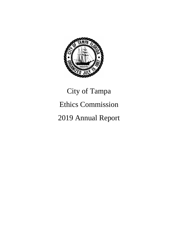

# City of Tampa Ethics Commission 2019 Annual Report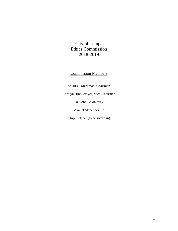City of Tampa Ethics Commission 2018-2019

#### Commission Members

Stuart C. Markman, Chairman

Carolyn Bricklemyer, Vice-Chairman

Dr. John Belohlavek

Manuel Menendez, Jr.

Chip Fletcher (to be sworn in)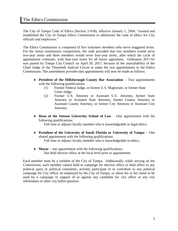#### The Ethics Commission

The City of Tampa Code of Ethics (Section 2-650), effective January 1, 2004, "created and established the City of Tampa Ethics Commission to administer the code of ethics for City officials and employees."

The Ethics Commission is composed of five volunteer members who serve staggered terms. For the initial commission composition, the code provided that two members would serve two-year terms and three members would serve four-year terms, after which the cycle of appointment continues, with four-year terms for all future appointees. Ordinance 2017-61 was passed by Tampa City Council on April 20, 2017, because of the unavailability of the Chief Judge of the Thirteenth Judicial Circuit to make the two appointments to the Ethics Commission. The amendment provides that appointments will now be made as follows:

- **President of the Hillsborough County Bar Association** Two appointments with the following qualifications:
	- (1) Former Federal Judge, or former U.S. Magistrate, or former State Court Judge;
	- (2) Former U.S. Attorney or Assistant U.S. Attorney, former State Attorney or Assistant State Attorney, former County Attorney or Assistant County Attorney, or former City Attorney or Assistant City Attorney.
- **Dean of the Stetson University School of Law** One appointment with the following qualifications:

Full time or adjunct faculty member who is knowledgeable in legal ethics.

- **President of the University of South Florida or University of Tampa** One shared appointment with the following qualifications: Full time or adjunct faculty member who is knowledgeable in ethics.
- **Mayor** one appointment with the following qualifications: Has held elective office at the local level prior to appointment.

Each member must be a resident of the City of Tampa. Additionally, while serving on the Commission, each member cannot hold or campaign for elective office or hold office in any political party or political committee, actively participate in or contribute to any political campaign for City office, be employed by the City of Tampa, or allow his or her name to be used by a campaign in support of or against any candidate for city office or any city referendum or other city ballot question.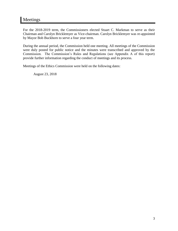### Meetings

For the 2018-2019 term, the Commissioners elected Stuart C. Markman to serve as their Chairman and Carolyn Bricklemyer as Vice-chairman. Carolyn Bricklemyer was re-appointed by Mayor Bob Buckhorn to serve a four year term.

During the annual period, the Commission held one meeting. All meetings of the Commission were duly posted for public notice and the minutes were transcribed and approved by the Commission. The Commission's Rules and Regulations (see Appendix A of this report) provide further information regarding the conduct of meetings and its process.

Meetings of the Ethics Commission were held on the following dates:

August 23, 2018